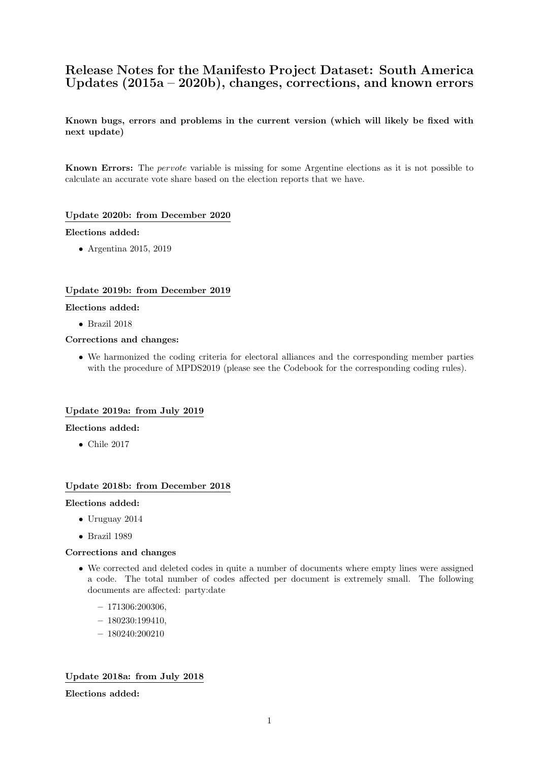# Release Notes for the Manifesto Project Dataset: South America Updates (2015a – 2020b), changes, corrections, and known errors

Known bugs, errors and problems in the current version (which will likely be fixed with next update)

Known Errors: The pervote variable is missing for some Argentine elections as it is not possible to calculate an accurate vote share based on the election reports that we have.

## Update 2020b: from December 2020

### Elections added:

• Argentina 2015, 2019

# Update 2019b: from December 2019

### Elections added:

• Brazil 2018

### Corrections and changes:

• We harmonized the coding criteria for electoral alliances and the corresponding member parties with the procedure of MPDS2019 (please see the Codebook for the corresponding coding rules).

## Update 2019a: from July 2019

### Elections added:

• Chile 2017

## Update 2018b: from December 2018

## Elections added:

- Uruguay 2014
- Brazil 1989

## Corrections and changes

- We corrected and deleted codes in quite a number of documents where empty lines were assigned a code. The total number of codes affected per document is extremely small. The following documents are affected: party:date
	- 171306:200306,
	- $-180230:199410$
	- 180240:200210

# Update 2018a: from July 2018

Elections added: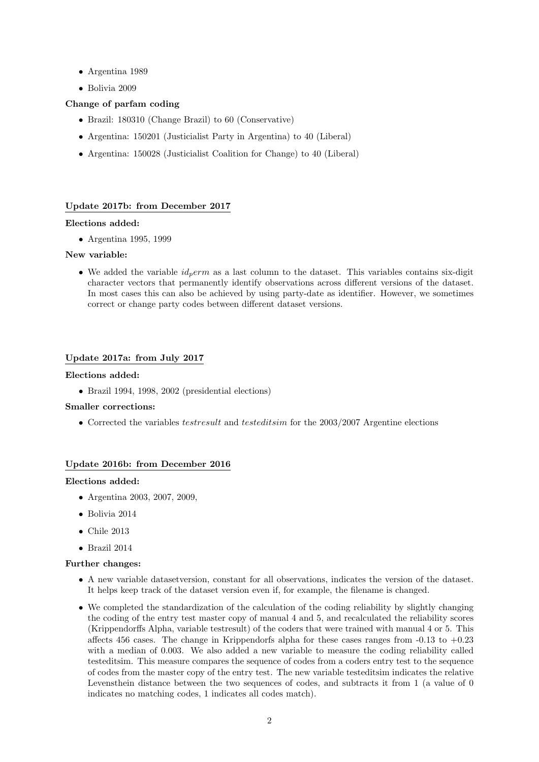- Argentina 1989
- Bolivia 2009

# Change of parfam coding

- Brazil: 180310 (Change Brazil) to 60 (Conservative)
- Argentina: 150201 (Justicialist Party in Argentina) to 40 (Liberal)
- Argentina: 150028 (Justicialist Coalition for Change) to 40 (Liberal)

# Update 2017b: from December 2017

## Elections added:

• Argentina 1995, 1999

# New variable:

• We added the variable  $id_perm$  as a last column to the dataset. This variables contains six-digit character vectors that permanently identify observations across different versions of the dataset. In most cases this can also be achieved by using party-date as identifier. However, we sometimes correct or change party codes between different dataset versions.

# Update 2017a: from July 2017

## Elections added:

• Brazil 1994, 1998, 2002 (presidential elections)

### Smaller corrections:

• Corrected the variables *testresult* and *testeditsim* for the 2003/2007 Argentine elections

# Update 2016b: from December 2016

### Elections added:

- Argentina 2003, 2007, 2009,
- Bolivia 2014
- Chile 2013
- Brazil 2014

### Further changes:

- A new variable datasetversion, constant for all observations, indicates the version of the dataset. It helps keep track of the dataset version even if, for example, the filename is changed.
- We completed the standardization of the calculation of the coding reliability by slightly changing the coding of the entry test master copy of manual 4 and 5, and recalculated the reliability scores (Krippendorffs Alpha, variable testresult) of the coders that were trained with manual 4 or 5. This affects 456 cases. The change in Krippendorfs alpha for these cases ranges from  $-0.13$  to  $+0.23$ with a median of 0.003. We also added a new variable to measure the coding reliability called testeditsim. This measure compares the sequence of codes from a coders entry test to the sequence of codes from the master copy of the entry test. The new variable testeditsim indicates the relative Levensthein distance between the two sequences of codes, and subtracts it from 1 (a value of 0 indicates no matching codes, 1 indicates all codes match).